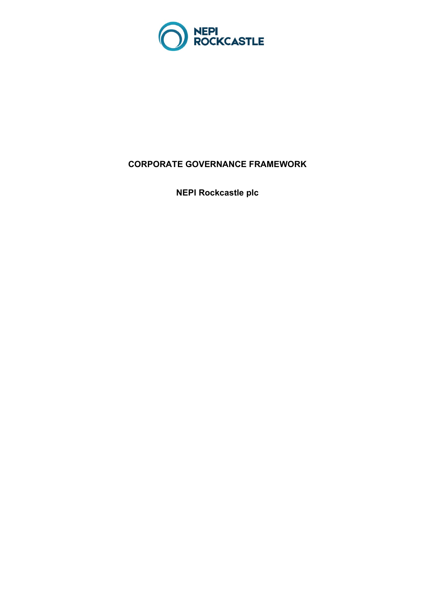

# **CORPORATE GOVERNANCE FRAMEWORK**

**NEPI Rockcastle plc**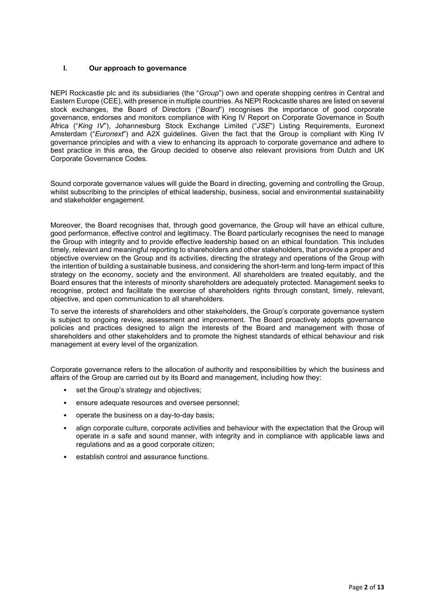# **I. Our approach to governance**

NEPI Rockcastle plc and its subsidiaries (the "*Group*") own and operate shopping centres in Central and Eastern Europe (CEE), with presence in multiple countries. As NEPI Rockcastle shares are listed on several stock exchanges, the Board of Directors ("*Board*") recognises the importance of good corporate governance, endorses and monitors compliance with King IV Report on Corporate Governance in South Africa ("*King IV*"), Johannesburg Stock Exchange Limited ("*JSE*") Listing Requirements, Euronext Amsterdam ("*Euronext*") and A2X guidelines. Given the fact that the Group is compliant with King IV governance principles and with a view to enhancing its approach to corporate governance and adhere to best practice in this area, the Group decided to observe also relevant provisions from Dutch and UK Corporate Governance Codes.

Sound corporate governance values will guide the Board in directing, governing and controlling the Group, whilst subscribing to the principles of ethical leadership, business, social and environmental sustainability and stakeholder engagement.

Moreover, the Board recognises that, through good governance, the Group will have an ethical culture, good performance, effective control and legitimacy. The Board particularly recognises the need to manage the Group with integrity and to provide effective leadership based on an ethical foundation. This includes timely, relevant and meaningful reporting to shareholders and other stakeholders, that provide a proper and objective overview on the Group and its activities, directing the strategy and operations of the Group with the intention of building a sustainable business, and considering the short-term and long-term impact of this strategy on the economy, society and the environment. All shareholders are treated equitably, and the Board ensures that the interests of minority shareholders are adequately protected. Management seeks to recognise, protect and facilitate the exercise of shareholders rights through constant, timely, relevant, objective, and open communication to all shareholders.

To serve the interests of shareholders and other stakeholders, the Group's corporate governance system is subject to ongoing review, assessment and improvement. The Board proactively adopts governance policies and practices designed to align the interests of the Board and management with those of shareholders and other stakeholders and to promote the highest standards of ethical behaviour and risk management at every level of the organization.

Corporate governance refers to the allocation of authority and responsibilities by which the business and affairs of the Group are carried out by its Board and management, including how they:

- set the Group's strategy and objectives;
- ensure adequate resources and oversee personnel;
- operate the business on a day-to-day basis;
- align corporate culture, corporate activities and behaviour with the expectation that the Group will operate in a safe and sound manner, with integrity and in compliance with applicable laws and regulations and as a good corporate citizen;
- establish control and assurance functions.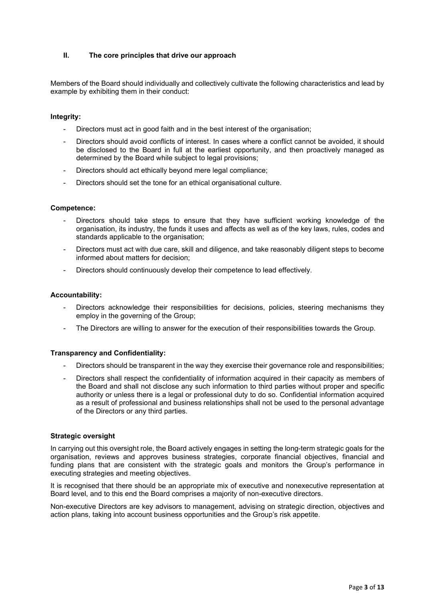# **II. The core principles that drive our approach**

Members of the Board should individually and collectively cultivate the following characteristics and lead by example by exhibiting them in their conduct:

#### **Integrity:**

- Directors must act in good faith and in the best interest of the organisation;
- Directors should avoid conflicts of interest. In cases where a conflict cannot be avoided, it should be disclosed to the Board in full at the earliest opportunity, and then proactively managed as determined by the Board while subject to legal provisions;
- Directors should act ethically beyond mere legal compliance;
- Directors should set the tone for an ethical organisational culture.

#### **Competence:**

- Directors should take steps to ensure that they have sufficient working knowledge of the organisation, its industry, the funds it uses and affects as well as of the key laws, rules, codes and standards applicable to the organisation;
- Directors must act with due care, skill and diligence, and take reasonably diligent steps to become informed about matters for decision;
- Directors should continuously develop their competence to lead effectively.

#### **Accountability:**

- Directors acknowledge their responsibilities for decisions, policies, steering mechanisms they employ in the governing of the Group;
- The Directors are willing to answer for the execution of their responsibilities towards the Group.

#### **Transparency and Confidentiality:**

- Directors should be transparent in the way they exercise their governance role and responsibilities;
- Directors shall respect the confidentiality of information acquired in their capacity as members of the Board and shall not disclose any such information to third parties without proper and specific authority or unless there is a legal or professional duty to do so. Confidential information acquired as a result of professional and business relationships shall not be used to the personal advantage of the Directors or any third parties.

#### **Strategic oversight**

In carrying out this oversight role, the Board actively engages in setting the long-term strategic goals for the organisation, reviews and approves business strategies, corporate financial objectives, financial and funding plans that are consistent with the strategic goals and monitors the Group's performance in executing strategies and meeting objectives.

It is recognised that there should be an appropriate mix of executive and nonexecutive representation at Board level, and to this end the Board comprises a majority of non-executive directors.

Non-executive Directors are key advisors to management, advising on strategic direction, objectives and action plans, taking into account business opportunities and the Group's risk appetite.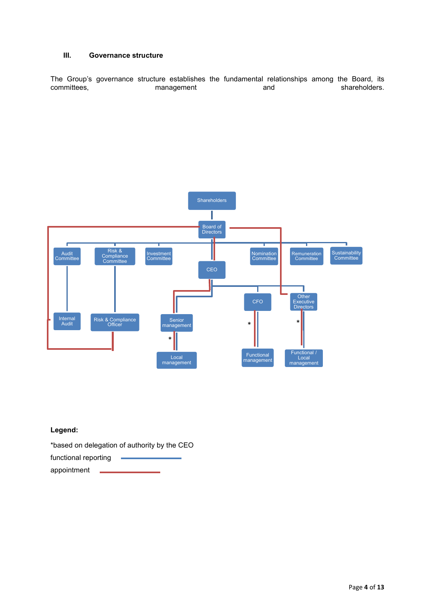# **III. Governance structure**

The Group's governance structure establishes the fundamental relationships among the Board, its<br>committees, management and shareholders. management and shareholders.



# **Legend:**

\*based on delegation of authority by the CEO

| functional reporting |  |
|----------------------|--|
| appointment          |  |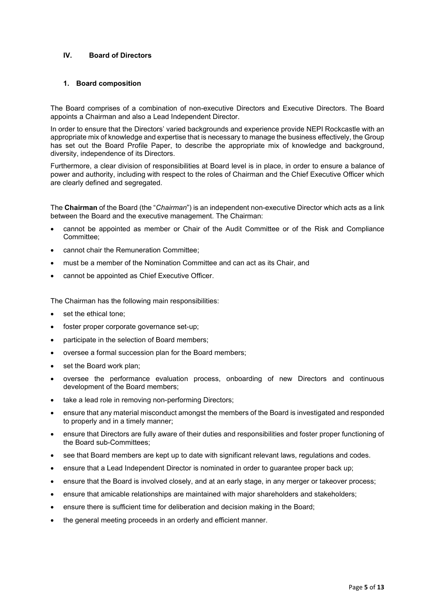## **IV. Board of Directors**

#### **1. Board composition**

The Board comprises of a combination of non-executive Directors and Executive Directors. The Board appoints a Chairman and also a Lead Independent Director.

In order to ensure that the Directors' varied backgrounds and experience provide NEPI Rockcastle with an appropriate mix of knowledge and expertise that is necessary to manage the business effectively, the Group has set out the Board Profile Paper, to describe the appropriate mix of knowledge and background, diversity, independence of its Directors.

Furthermore, a clear division of responsibilities at Board level is in place, in order to ensure a balance of power and authority, including with respect to the roles of Chairman and the Chief Executive Officer which are clearly defined and segregated.

The **Chairman** of the Board (the "*Chairman*") is an independent non-executive Director which acts as a link between the Board and the executive management. The Chairman:

- cannot be appointed as member or Chair of the Audit Committee or of the Risk and Compliance Committee;
- cannot chair the Remuneration Committee;
- must be a member of the Nomination Committee and can act as its Chair, and
- cannot be appointed as Chief Executive Officer.

The Chairman has the following main responsibilities:

- set the ethical tone;
- foster proper corporate governance set-up;
- participate in the selection of Board members;
- oversee a formal succession plan for the Board members;
- set the Board work plan;
- oversee the performance evaluation process, onboarding of new Directors and continuous development of the Board members;
- take a lead role in removing non-performing Directors;
- ensure that any material misconduct amongst the members of the Board is investigated and responded to properly and in a timely manner;
- ensure that Directors are fully aware of their duties and responsibilities and foster proper functioning of the Board sub-Committees;
- see that Board members are kept up to date with significant relevant laws, regulations and codes.
- ensure that a Lead Independent Director is nominated in order to guarantee proper back up;
- ensure that the Board is involved closely, and at an early stage, in any merger or takeover process;
- ensure that amicable relationships are maintained with major shareholders and stakeholders;
- ensure there is sufficient time for deliberation and decision making in the Board;
- the general meeting proceeds in an orderly and efficient manner.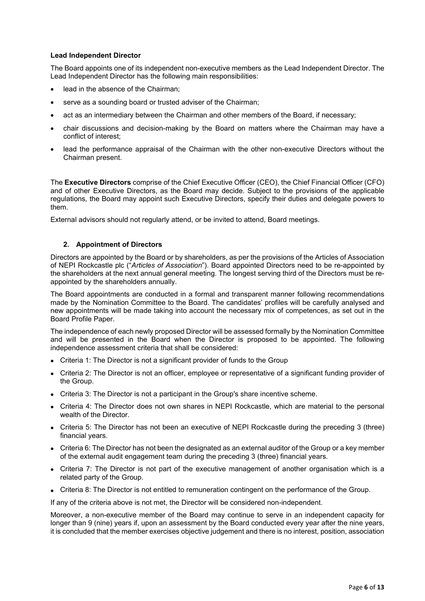## **Lead Independent Director**

The Board appoints one of its independent non-executive members as the Lead Independent Director. The Lead Independent Director has the following main responsibilities:

- lead in the absence of the Chairman;
- serve as a sounding board or trusted adviser of the Chairman;
- act as an intermediary between the Chairman and other members of the Board, if necessary;
- chair discussions and decision-making by the Board on matters where the Chairman may have a conflict of interest;
- lead the performance appraisal of the Chairman with the other non-executive Directors without the Chairman present.

The **Executive Directors** comprise of the Chief Executive Officer (CEO), the Chief Financial Officer (CFO) and of other Executive Directors, as the Board may decide. Subject to the provisions of the applicable regulations*,* the Board may appoint such Executive Directors, specify their duties and delegate powers to them.

External advisors should not regularly attend, or be invited to attend, Board meetings.

## **2. Appointment of Directors**

Directors are appointed by the Board or by shareholders, as per the provisions of the Articles of Association of NEPI Rockcastle plc ("*Articles of Association*"). Board appointed Directors need to be re-appointed by the shareholders at the next annual general meeting. The longest serving third of the Directors must be reappointed by the shareholders annually.

The Board appointments are conducted in a formal and transparent manner following recommendations made by the Nomination Committee to the Board. The candidates' profiles will be carefully analysed and new appointments will be made taking into account the necessary mix of competences, as set out in the Board Profile Paper.

The independence of each newly proposed Director will be assessed formally by the Nomination Committee and will be presented in the Board when the Director is proposed to be appointed. The following independence assessment criteria that shall be considered:

- Criteria 1: The Director is not a significant provider of funds to the Group
- Criteria 2: The Director is not an officer, employee or representative of a significant funding provider of the Group.
- Criteria 3: The Director is not a participant in the Group's share incentive scheme.
- Criteria 4: The Director does not own shares in NEPI Rockcastle, which are material to the personal wealth of the Director.
- Criteria 5: The Director has not been an executive of NEPI Rockcastle during the preceding 3 (three) financial years.
- Criteria 6: The Director has not been the designated as an external auditor of the Group or a key member of the external audit engagement team during the preceding 3 (three) financial years.
- Criteria 7: The Director is not part of the executive management of another organisation which is a related party of the Group.
- Criteria 8: The Director is not entitled to remuneration contingent on the performance of the Group.

If any of the criteria above is not met, the Director will be considered non-independent.

Moreover, a non-executive member of the Board may continue to serve in an independent capacity for longer than 9 (nine) years if, upon an assessment by the Board conducted every year after the nine years, it is concluded that the member exercises objective judgement and there is no interest, position, association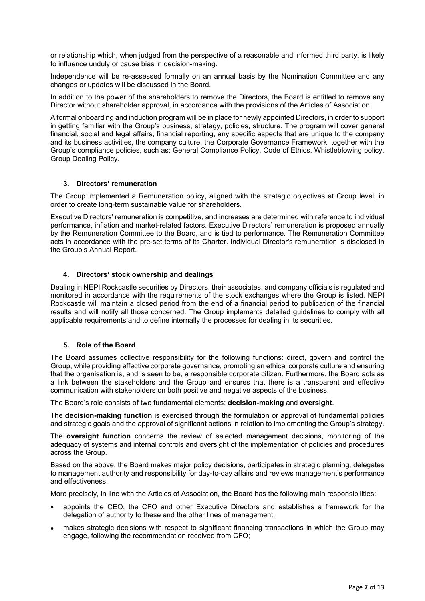or relationship which, when judged from the perspective of a reasonable and informed third party, is likely to influence unduly or cause bias in decision-making.

Independence will be re-assessed formally on an annual basis by the Nomination Committee and any changes or updates will be discussed in the Board.

In addition to the power of the shareholders to remove the Directors, the Board is entitled to remove any Director without shareholder approval, in accordance with the provisions of the Articles of Association.

A formal onboarding and induction program will be in place for newly appointed Directors, in order to support in getting familiar with the Group's business, strategy, policies, structure. The program will cover general financial, social and legal affairs, financial reporting, any specific aspects that are unique to the company and its business activities, the company culture, the Corporate Governance Framework, together with the Group's compliance policies, such as: General Compliance Policy, Code of Ethics, Whistleblowing policy, Group Dealing Policy.

# **3. Directors' remuneration**

The Group implemented a Remuneration policy, aligned with the strategic objectives at Group level, in order to create long-term sustainable value for shareholders.

Executive Directors' remuneration is competitive, and increases are determined with reference to individual performance, inflation and market-related factors. Executive Directors' remuneration is proposed annually by the Remuneration Committee to the Board, and is tied to performance. The Remuneration Committee acts in accordance with the pre-set terms of its Charter. Individual Director's remuneration is disclosed in the Group's Annual Report.

## **4. Directors' stock ownership and dealings**

Dealing in NEPI Rockcastle securities by Directors, their associates, and company officials is regulated and monitored in accordance with the requirements of the stock exchanges where the Group is listed. NEPI Rockcastle will maintain a closed period from the end of a financial period to publication of the financial results and will notify all those concerned. The Group implements detailed guidelines to comply with all applicable requirements and to define internally the processes for dealing in its securities.

#### **5. Role of the Board**

The Board assumes collective responsibility for the following functions: direct, govern and control the Group, while providing effective corporate governance, promoting an ethical corporate culture and ensuring that the organisation is, and is seen to be, a responsible corporate citizen. Furthermore, the Board acts as a link between the stakeholders and the Group and ensures that there is a transparent and effective communication with stakeholders on both positive and negative aspects of the business.

The Board's role consists of two fundamental elements: **decision-making** and **oversight**.

The **decision-making function** is exercised through the formulation or approval of fundamental policies and strategic goals and the approval of significant actions in relation to implementing the Group's strategy.

The **oversight function** concerns the review of selected management decisions, monitoring of the adequacy of systems and internal controls and oversight of the implementation of policies and procedures across the Group.

Based on the above, the Board makes major policy decisions, participates in strategic planning, delegates to management authority and responsibility for day-to-day affairs and reviews management's performance and effectiveness.

More precisely, in line with the Articles of Association, the Board has the following main responsibilities:

- appoints the CEO, the CFO and other Executive Directors and establishes a framework for the delegation of authority to these and the other lines of management;
- makes strategic decisions with respect to significant financing transactions in which the Group may engage, following the recommendation received from CFO;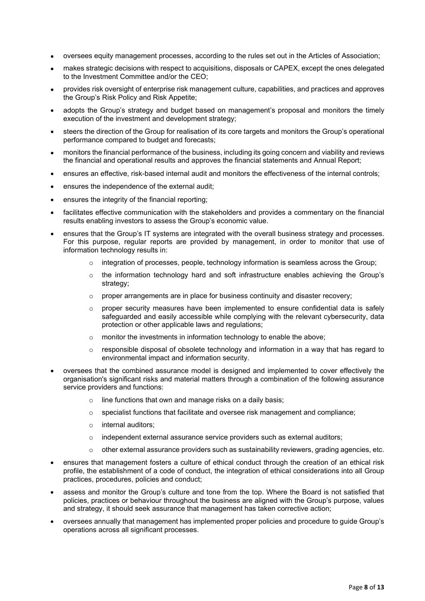- oversees equity management processes, according to the rules set out in the Articles of Association;
- makes strategic decisions with respect to acquisitions, disposals or CAPEX, except the ones delegated to the Investment Committee and/or the CEO;
- provides risk oversight of enterprise risk management culture, capabilities, and practices and approves the Group's Risk Policy and Risk Appetite;
- adopts the Group's strategy and budget based on management's proposal and monitors the timely execution of the investment and development strategy;
- steers the direction of the Group for realisation of its core targets and monitors the Group's operational performance compared to budget and forecasts;
- monitors the financial performance of the business, including its going concern and viability and reviews the financial and operational results and approves the financial statements and Annual Report;
- ensures an effective, risk-based internal audit and monitors the effectiveness of the internal controls;
- ensures the independence of the external audit:
- ensures the integrity of the financial reporting;
- facilitates effective communication with the stakeholders and provides a commentary on the financial results enabling investors to assess the Group's economic value.
- ensures that the Group's IT systems are integrated with the overall business strategy and processes. For this purpose, regular reports are provided by management, in order to monitor that use of information technology results in:
	- $\circ$  integration of processes, people, technology information is seamless across the Group;
	- $\circ$  the information technology hard and soft infrastructure enables achieving the Group's strategy;
	- $\circ$  proper arrangements are in place for business continuity and disaster recovery;
	- $\circ$  proper security measures have been implemented to ensure confidential data is safely safeguarded and easily accessible while complying with the relevant cybersecurity, data protection or other applicable laws and regulations;
	- o monitor the investments in information technology to enable the above;
	- $\circ$  responsible disposal of obsolete technology and information in a way that has regard to environmental impact and information security.
- oversees that the combined assurance model is designed and implemented to cover effectively the organisation's significant risks and material matters through a combination of the following assurance service providers and functions:
	- $\circ$  line functions that own and manage risks on a daily basis;
	- $\circ$  specialist functions that facilitate and oversee risk management and compliance;
	- o internal auditors;
	- $\circ$  independent external assurance service providers such as external auditors;
	- $\circ$  other external assurance providers such as sustainability reviewers, grading agencies, etc.
- ensures that management fosters a culture of ethical conduct through the creation of an ethical risk profile, the establishment of a code of conduct, the integration of ethical considerations into all Group practices, procedures, policies and conduct;
- assess and monitor the Group's culture and tone from the top. Where the Board is not satisfied that policies, practices or behaviour throughout the business are aligned with the Group's purpose, values and strategy, it should seek assurance that management has taken corrective action;
- oversees annually that management has implemented proper policies and procedure to guide Group's operations across all significant processes.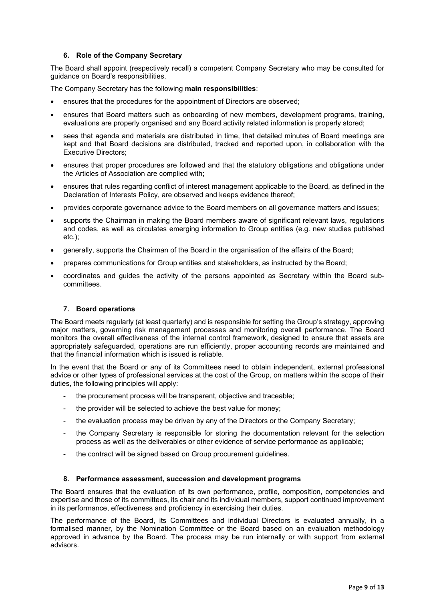# **6. Role of the Company Secretary**

The Board shall appoint (respectively recall) a competent Company Secretary who may be consulted for guidance on Board's responsibilities.

The Company Secretary has the following **main responsibilities**:

- ensures that the procedures for the appointment of Directors are observed;
- ensures that Board matters such as onboarding of new members, development programs, training, evaluations are properly organised and any Board activity related information is properly stored;
- sees that agenda and materials are distributed in time, that detailed minutes of Board meetings are kept and that Board decisions are distributed, tracked and reported upon, in collaboration with the Executive Directors;
- ensures that proper procedures are followed and that the statutory obligations and obligations under the Articles of Association are complied with;
- ensures that rules regarding conflict of interest management applicable to the Board, as defined in the Declaration of Interests Policy, are observed and keeps evidence thereof;
- provides corporate governance advice to the Board members on all governance matters and issues;
- supports the Chairman in making the Board members aware of significant relevant laws, regulations and codes, as well as circulates emerging information to Group entities (e.g. new studies published etc.);
- generally, supports the Chairman of the Board in the organisation of the affairs of the Board;
- prepares communications for Group entities and stakeholders, as instructed by the Board;
- coordinates and guides the activity of the persons appointed as Secretary within the Board subcommittees.

# **7. Board operations**

The Board meets regularly (at least quarterly) and is responsible for setting the Group's strategy, approving major matters, governing risk management processes and monitoring overall performance. The Board monitors the overall effectiveness of the internal control framework, designed to ensure that assets are appropriately safeguarded, operations are run efficiently, proper accounting records are maintained and that the financial information which is issued is reliable.

In the event that the Board or any of its Committees need to obtain independent, external professional advice or other types of professional services at the cost of the Group, on matters within the scope of their duties, the following principles will apply:

- the procurement process will be transparent, objective and traceable;
- the provider will be selected to achieve the best value for money;
- the evaluation process may be driven by any of the Directors or the Company Secretary;
- the Company Secretary is responsible for storing the documentation relevant for the selection process as well as the deliverables or other evidence of service performance as applicable;
- the contract will be signed based on Group procurement guidelines.

## **8. Performance assessment, succession and development programs**

The Board ensures that the evaluation of its own performance, profile, composition, competencies and expertise and those of its committees, its chair and its individual members, support continued improvement in its performance, effectiveness and proficiency in exercising their duties.

The performance of the Board, its Committees and individual Directors is evaluated annually, in a formalised manner, by the Nomination Committee or the Board based on an evaluation methodology approved in advance by the Board. The process may be run internally or with support from external advisors.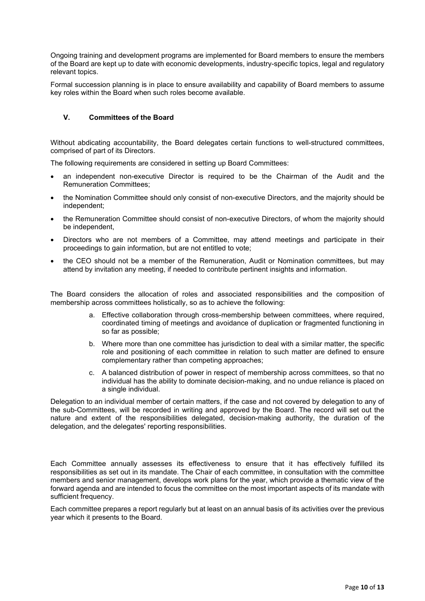Ongoing training and development programs are implemented for Board members to ensure the members of the Board are kept up to date with economic developments, industry-specific topics, legal and regulatory relevant topics.

Formal succession planning is in place to ensure availability and capability of Board members to assume key roles within the Board when such roles become available.

# **V. Committees of the Board**

Without abdicating accountability, the Board delegates certain functions to well-structured committees, comprised of part of its Directors.

The following requirements are considered in setting up Board Committees:

- an independent non-executive Director is required to be the Chairman of the Audit and the Remuneration Committees;
- the Nomination Committee should only consist of non-executive Directors, and the majority should be independent;
- the Remuneration Committee should consist of non-executive Directors, of whom the majority should be independent,
- Directors who are not members of a Committee, may attend meetings and participate in their proceedings to gain information, but are not entitled to vote;
- the CEO should not be a member of the Remuneration, Audit or Nomination committees, but may attend by invitation any meeting, if needed to contribute pertinent insights and information.

The Board considers the allocation of roles and associated responsibilities and the composition of membership across committees holistically, so as to achieve the following:

- a. Effective collaboration through cross-membership between committees, where required, coordinated timing of meetings and avoidance of duplication or fragmented functioning in so far as possible;
- b. Where more than one committee has jurisdiction to deal with a similar matter, the specific role and positioning of each committee in relation to such matter are defined to ensure complementary rather than competing approaches;
- c. A balanced distribution of power in respect of membership across committees, so that no individual has the ability to dominate decision-making, and no undue reliance is placed on a single individual.

Delegation to an individual member of certain matters, if the case and not covered by delegation to any of the sub-Committees, will be recorded in writing and approved by the Board. The record will set out the nature and extent of the responsibilities delegated, decision-making authority, the duration of the delegation, and the delegates' reporting responsibilities.

Each Committee annually assesses its effectiveness to ensure that it has effectively fulfilled its responsibilities as set out in its mandate. The Chair of each committee, in consultation with the committee members and senior management, develops work plans for the year, which provide a thematic view of the forward agenda and are intended to focus the committee on the most important aspects of its mandate with sufficient frequency.

Each committee prepares a report regularly but at least on an annual basis of its activities over the previous year which it presents to the Board.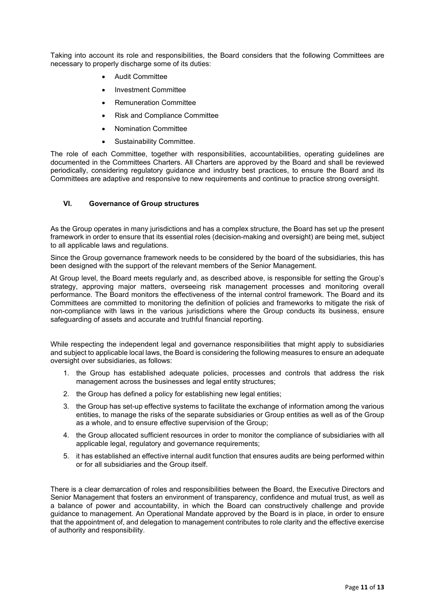Taking into account its role and responsibilities, the Board considers that the following Committees are necessary to properly discharge some of its duties:

- Audit Committee
- Investment Committee
- Remuneration Committee
- Risk and Compliance Committee
- Nomination Committee
- Sustainability Committee.

The role of each Committee, together with responsibilities, accountabilities, operating guidelines are documented in the Committees Charters. All Charters are approved by the Board and shall be reviewed periodically, considering regulatory guidance and industry best practices, to ensure the Board and its Committees are adaptive and responsive to new requirements and continue to practice strong oversight.

## **VI. Governance of Group structures**

As the Group operates in many jurisdictions and has a complex structure, the Board has set up the present framework in order to ensure that its essential roles (decision-making and oversight) are being met, subject to all applicable laws and regulations.

Since the Group governance framework needs to be considered by the board of the subsidiaries, this has been designed with the support of the relevant members of the Senior Management.

At Group level, the Board meets regularly and, as described above, is responsible for setting the Group's strategy, approving major matters, overseeing risk management processes and monitoring overall performance. The Board monitors the effectiveness of the internal control framework. The Board and its Committees are committed to monitoring the definition of policies and frameworks to mitigate the risk of non-compliance with laws in the various jurisdictions where the Group conducts its business, ensure safeguarding of assets and accurate and truthful financial reporting.

While respecting the independent legal and governance responsibilities that might apply to subsidiaries and subject to applicable local laws, the Board is considering the following measures to ensure an adequate oversight over subsidiaries, as follows:

- 1. the Group has established adequate policies, processes and controls that address the risk management across the businesses and legal entity structures;
- 2. the Group has defined a policy for establishing new legal entities;
- 3. the Group has set-up effective systems to facilitate the exchange of information among the various entities, to manage the risks of the separate subsidiaries or Group entities as well as of the Group as a whole, and to ensure effective supervision of the Group;
- 4. the Group allocated sufficient resources in order to monitor the compliance of subsidiaries with all applicable legal, regulatory and governance requirements;
- 5. it has established an effective internal audit function that ensures audits are being performed within or for all subsidiaries and the Group itself.

There is a clear demarcation of roles and responsibilities between the Board, the Executive Directors and Senior Management that fosters an environment of transparency, confidence and mutual trust, as well as a balance of power and accountability, in which the Board can constructively challenge and provide guidance to management. An Operational Mandate approved by the Board is in place, in order to ensure that the appointment of, and delegation to management contributes to role clarity and the effective exercise of authority and responsibility.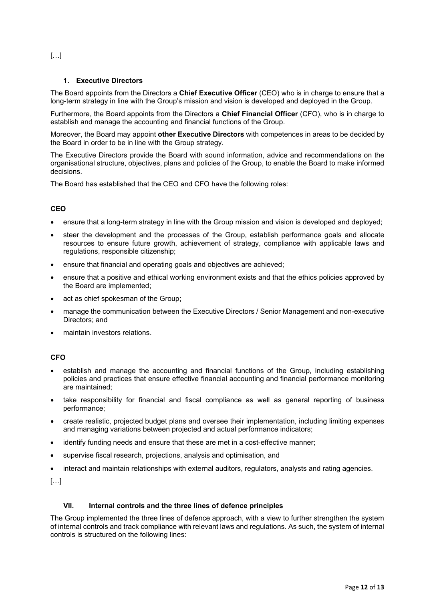[…]

# **1. Executive Directors**

The Board appoints from the Directors a **Chief Executive Officer** (CEO) who is in charge to ensure that a long-term strategy in line with the Group's mission and vision is developed and deployed in the Group.

Furthermore, the Board appoints from the Directors a **Chief Financial Officer** (CFO), who is in charge to establish and manage the accounting and financial functions of the Group.

Moreover, the Board may appoint **other Executive Directors** with competences in areas to be decided by the Board in order to be in line with the Group strategy.

The Executive Directors provide the Board with sound information, advice and recommendations on the organisational structure, objectives, plans and policies of the Group, to enable the Board to make informed decisions.

The Board has established that the CEO and CFO have the following roles:

# **CEO**

- ensure that a long-term strategy in line with the Group mission and vision is developed and deployed;
- steer the development and the processes of the Group, establish performance goals and allocate resources to ensure future growth, achievement of strategy, compliance with applicable laws and regulations, responsible citizenship;
- ensure that financial and operating goals and objectives are achieved;
- ensure that a positive and ethical working environment exists and that the ethics policies approved by the Board are implemented;
- act as chief spokesman of the Group:
- manage the communication between the Executive Directors / Senior Management and non-executive Directors; and
- maintain investors relations.

# **CFO**

- establish and manage the accounting and financial functions of the Group, including establishing policies and practices that ensure effective financial accounting and financial performance monitoring are maintained;
- take responsibility for financial and fiscal compliance as well as general reporting of business performance;
- create realistic, projected budget plans and oversee their implementation, including limiting expenses and managing variations between projected and actual performance indicators;
- identify funding needs and ensure that these are met in a cost-effective manner;
- supervise fiscal research, projections, analysis and optimisation, and
- interact and maintain relationships with external auditors, regulators, analysts and rating agencies.

[…]

# **VII. Internal controls and the three lines of defence principles**

The Group implemented the three lines of defence approach, with a view to further strengthen the system of internal controls and track compliance with relevant laws and regulations. As such, the system of internal controls is structured on the following lines: